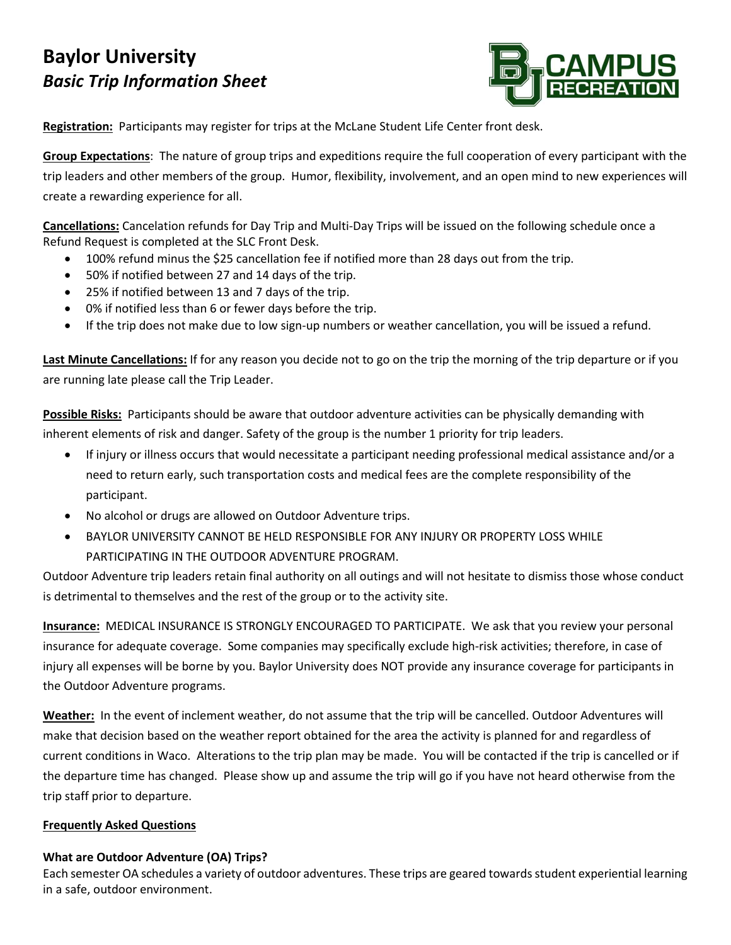# **Baylor University** *Basic Trip Information Sheet*



**Registration:** Participants may register for trips at the McLane Student Life Center front desk.

**Group Expectations**: The nature of group trips and expeditions require the full cooperation of every participant with the trip leaders and other members of the group. Humor, flexibility, involvement, and an open mind to new experiences will create a rewarding experience for all.

**Cancellations:** Cancelation refunds for Day Trip and Multi-Day Trips will be issued on the following schedule once a Refund Request is completed at the SLC Front Desk.

- 100% refund minus the \$25 cancellation fee if notified more than 28 days out from the trip.
- 50% if notified between 27 and 14 days of the trip.
- 25% if notified between 13 and 7 days of the trip.
- 0% if notified less than 6 or fewer days before the trip.
- If the trip does not make due to low sign-up numbers or weather cancellation, you will be issued a refund.

**Last Minute Cancellations:** If for any reason you decide not to go on the trip the morning of the trip departure or if you are running late please call the Trip Leader.

**Possible Risks:** Participants should be aware that outdoor adventure activities can be physically demanding with inherent elements of risk and danger. Safety of the group is the number 1 priority for trip leaders.

- If injury or illness occurs that would necessitate a participant needing professional medical assistance and/or a need to return early, such transportation costs and medical fees are the complete responsibility of the participant.
- No alcohol or drugs are allowed on Outdoor Adventure trips.
- BAYLOR UNIVERSITY CANNOT BE HELD RESPONSIBLE FOR ANY INJURY OR PROPERTY LOSS WHILE PARTICIPATING IN THE OUTDOOR ADVENTURE PROGRAM.

Outdoor Adventure trip leaders retain final authority on all outings and will not hesitate to dismiss those whose conduct is detrimental to themselves and the rest of the group or to the activity site.

**Insurance:** MEDICAL INSURANCE IS STRONGLY ENCOURAGED TO PARTICIPATE. We ask that you review your personal insurance for adequate coverage. Some companies may specifically exclude high-risk activities; therefore, in case of injury all expenses will be borne by you. Baylor University does NOT provide any insurance coverage for participants in the Outdoor Adventure programs.

**Weather:** In the event of inclement weather, do not assume that the trip will be cancelled. Outdoor Adventures will make that decision based on the weather report obtained for the area the activity is planned for and regardless of current conditions in Waco. Alterations to the trip plan may be made. You will be contacted if the trip is cancelled or if the departure time has changed. Please show up and assume the trip will go if you have not heard otherwise from the trip staff prior to departure.

## **Frequently Asked Questions**

# **What are Outdoor Adventure (OA) Trips?**

Each semester OA schedules a variety of outdoor adventures. These trips are geared towards student experiential learning in a safe, outdoor environment.